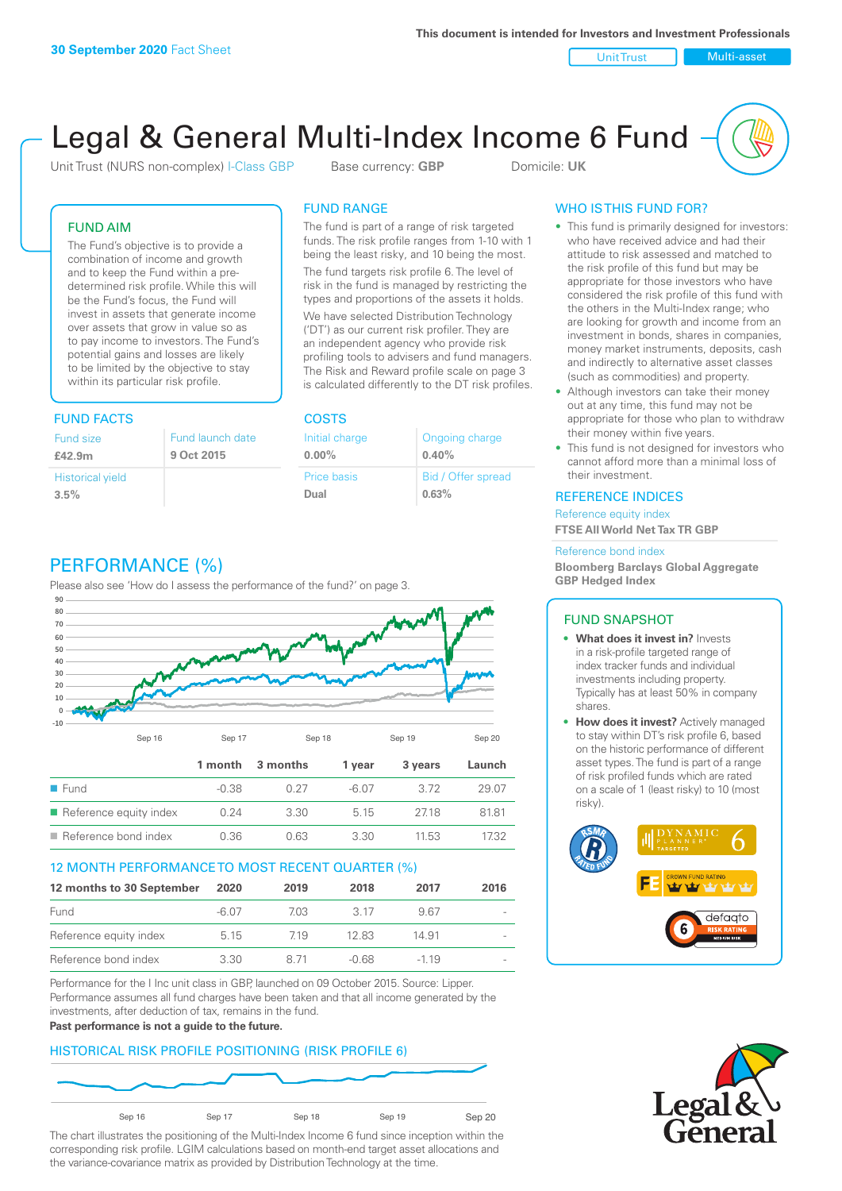Unit Trust Multi-asset

# Legal & General Multi-Index Income 6 Fund

Unit Trust (NURS non-complex) I-Class GBP Base currency: **GBP** Domicile: UK

### FUND AIM

The Fund's objective is to provide a combination of income and growth and to keep the Fund within a predetermined risk profile. While this will be the Fund's focus, the Fund will invest in assets that generate income over assets that grow in value so as to pay income to investors. The Fund's potential gains and losses are likely to be limited by the objective to stay within its particular risk profile.

### FUND FACTS COSTS

| Fund size<br>£42.9m     | Fund launch date<br>9 Oct 2015 |
|-------------------------|--------------------------------|
| <b>Historical yield</b> |                                |
| 3.5%                    |                                |

### FUND RANGE

The fund is part of a range of risk targeted funds. The risk profile ranges from 1-10 with 1 being the least risky, and 10 being the most.

The fund targets risk profile 6. The level of risk in the fund is managed by restricting the types and proportions of the assets it holds. We have selected Distribution Technology ('DT') as our current risk profiler. They are an independent agency who provide risk profiling tools to advisers and fund managers. The Risk and Reward profile scale on page 3 is calculated differently to the DT risk profiles.

| Initial charge | Ongoing charge     |
|----------------|--------------------|
| $0.00\%$       | 0.40%              |
| Price basis    | Bid / Offer spread |
| Dual           | 0.63%              |

## WHO IS THIS FUND FOR?

- This fund is primarily designed for investors: who have received advice and had their attitude to risk assessed and matched to the risk profile of this fund but may be appropriate for those investors who have considered the risk profile of this fund with the others in the Multi-Index range; who are looking for growth and income from an investment in bonds, shares in companies, money market instruments, deposits, cash and indirectly to alternative asset classes (such as commodities) and property.
- Although investors can take their money out at any time, this fund may not be appropriate for those who plan to withdraw their money within five years.
- This fund is not designed for investors who cannot afford more than a minimal loss of their investment.

### REFERENCE INDICES

Reference equity index **FTSE All World Net Tax TR GBP**

#### Reference bond index

**Bloomberg Barclays Global Aggregate GBP Hedged Index**

### FUND SNAPSHOT

- **• What does it invest in?** Invests in a risk-profile targeted range of index tracker funds and individual investments including property. Typically has at least 50% in company shares.
- **• How does it invest?** Actively managed to stay within DT's risk profile 6, based on the historic performance of different asset types. The fund is part of a range of risk profiled funds which are rated on a scale of 1 (least risky) to 10 (most risky).





### PERFORMANCE (%)

Please also see 'How do I assess the performance of the fund?' on page 3.



### 12 MONTH PERFORMANCE TO MOST RECENT QUARTER (%)

| 12 months to 30 September | 2020  | 2019 | 2018  | 2017   | 2016                     |
|---------------------------|-------|------|-------|--------|--------------------------|
| Fund                      | -6.07 | 7.03 | 3.17  | 967    | $\sim$                   |
| Reference equity index    | 5.15  | 719  | 12.83 | 14.91  | $\overline{\phantom{a}}$ |
| Reference bond index      | 3.30  | 8 71 | -0.68 | $-119$ | $\overline{\phantom{a}}$ |

Performance for the I Inc unit class in GBP, launched on 09 October 2015. Source: Lipper. Performance assumes all fund charges have been taken and that all income generated by the investments, after deduction of tax, remains in the fund.

#### **Past performance is not a guide to the future.**

### HISTORICAL RISK PROFILE POSITIONING (RISK PROFILE 6)



The chart illustrates the positioning of the Multi-Index Income 6 fund since inception within the corresponding risk profile. LGIM calculations based on month-end target asset allocations and the variance-covariance matrix as provided by Distribution Technology at the time.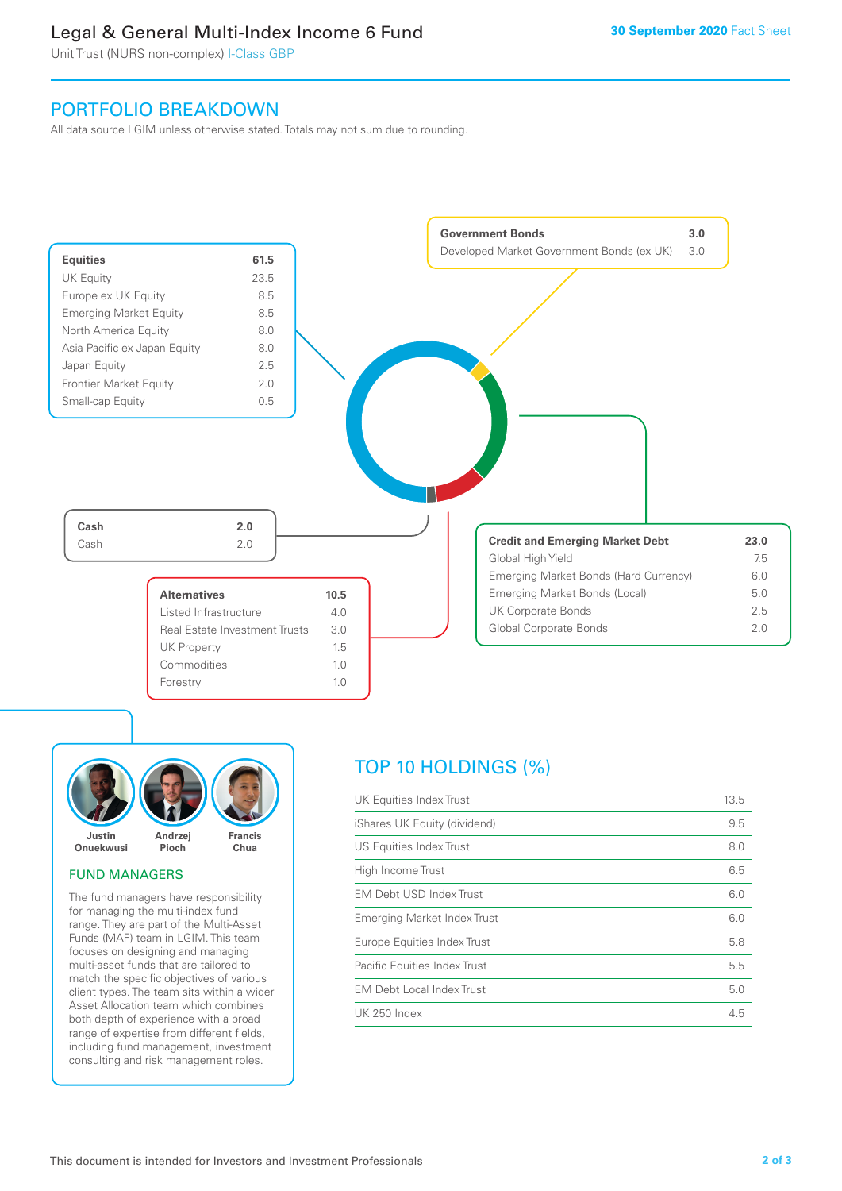### Legal & General Multi-Index Income 6 Fund

Unit Trust (NURS non-complex) I-Class GBP

### PORTFOLIO BREAKDOWN

All data source LGIM unless otherwise stated. Totals may not sum due to rounding.





### FUND MANAGERS

The fund managers have responsibility for managing the multi-index fund range. They are part of the Multi-Asset Funds (MAF) team in LGIM. This team focuses on designing and managing multi-asset funds that are tailored to match the specific objectives of various client types. The team sits within a wider Asset Allocation team which combines both depth of experience with a broad range of expertise from different fields, including fund management, investment consulting and risk management roles.

### TOP 10 HOLDINGS (%)

| UK Equities Index Trust          | 13.5 |
|----------------------------------|------|
| iShares UK Equity (dividend)     | 9.5  |
| US Equities Index Trust          | 8.0  |
| High Income Trust                | 6.5  |
| EM Debt USD Index Trust          | 6.0  |
| Emerging Market Index Trust      | 6.0  |
| Europe Equities Index Trust      | 5.8  |
| Pacific Equities Index Trust     | 5.5  |
| <b>EM Debt Local Index Trust</b> | 5.0  |
| <b>UK 250 Index</b>              | 4.5  |
|                                  |      |